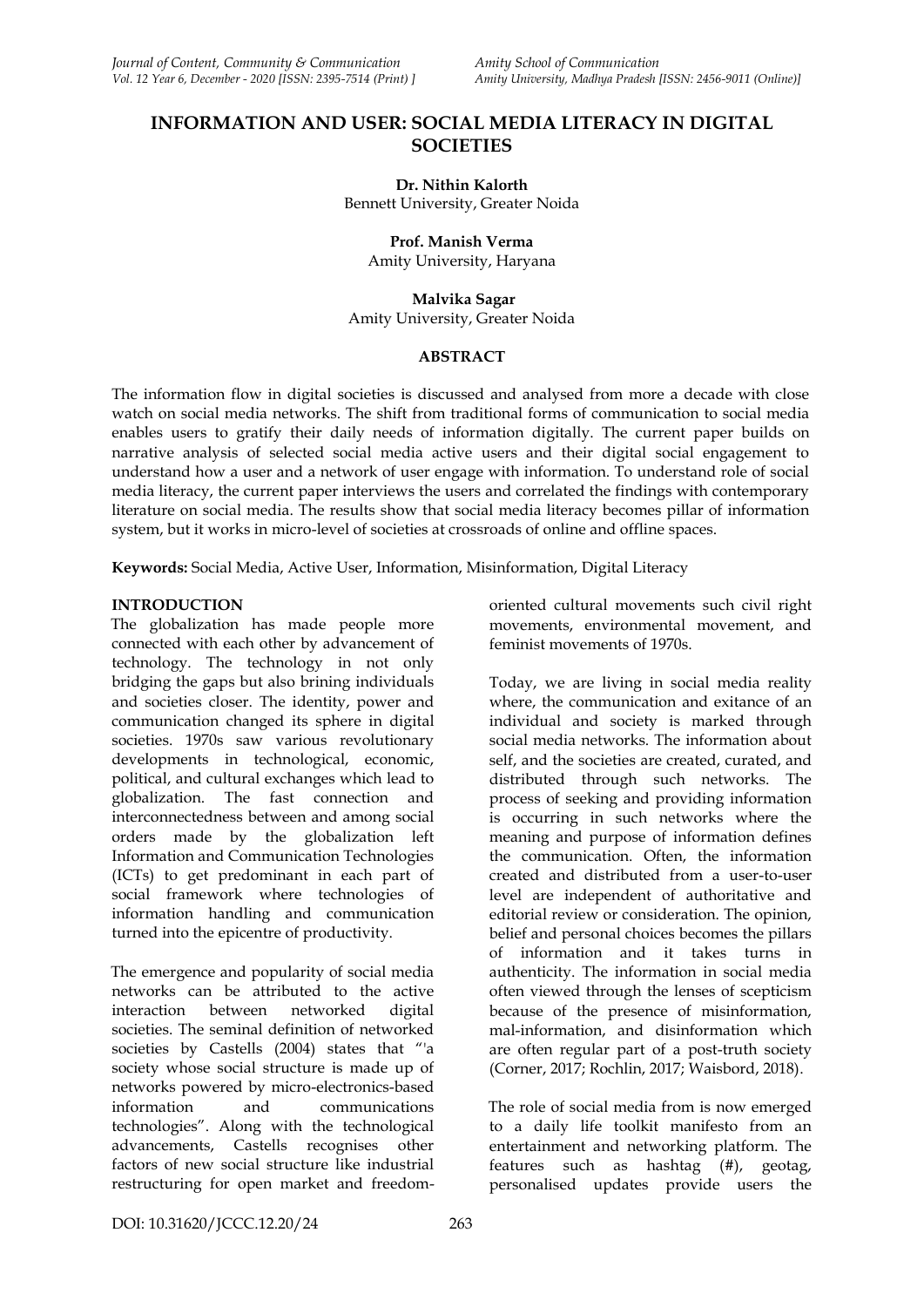# **INFORMATION AND USER: SOCIAL MEDIA LITERACY IN DIGITAL SOCIETIES**

#### **Dr. Nithin Kalorth** Bennett University, Greater Noida

**Prof. Manish Verma** Amity University, Haryana

**Malvika Sagar** Amity University, Greater Noida

## **ABSTRACT**

The information flow in digital societies is discussed and analysed from more a decade with close watch on social media networks. The shift from traditional forms of communication to social media enables users to gratify their daily needs of information digitally. The current paper builds on narrative analysis of selected social media active users and their digital social engagement to understand how a user and a network of user engage with information. To understand role of social media literacy, the current paper interviews the users and correlated the findings with contemporary literature on social media. The results show that social media literacy becomes pillar of information system, but it works in micro-level of societies at crossroads of online and offline spaces.

**Keywords:** Social Media, Active User, Information, Misinformation, Digital Literacy

## **INTRODUCTION**

The globalization has made people more connected with each other by advancement of technology. The technology in not only bridging the gaps but also brining individuals and societies closer. The identity, power and communication changed its sphere in digital societies. 1970s saw various revolutionary developments in technological, economic, political, and cultural exchanges which lead to globalization. The fast connection and interconnectedness between and among social orders made by the globalization left Information and Communication Technologies (ICTs) to get predominant in each part of social framework where technologies of information handling and communication turned into the epicentre of productivity.

The emergence and popularity of social media networks can be attributed to the active interaction between networked digital societies. The seminal definition of networked societies by Castells (2004) states that "'a society whose social structure is made up of networks powered by micro-electronics-based information and communications technologies". Along with the technological advancements, Castells recognises other factors of new social structure like industrial restructuring for open market and freedomoriented cultural movements such civil right movements, environmental movement, and feminist movements of 1970s.

Today, we are living in social media reality where, the communication and exitance of an individual and society is marked through social media networks. The information about self, and the societies are created, curated, and distributed through such networks. The process of seeking and providing information is occurring in such networks where the meaning and purpose of information defines the communication. Often, the information created and distributed from a user-to-user level are independent of authoritative and editorial review or consideration. The opinion, belief and personal choices becomes the pillars of information and it takes turns in authenticity. The information in social media often viewed through the lenses of scepticism because of the presence of misinformation, mal-information, and disinformation which are often regular part of a post-truth society (Corner, 2017; Rochlin, 2017; Waisbord, 2018).

The role of social media from is now emerged to a daily life toolkit manifesto from an entertainment and networking platform. The features such as hashtag (#), geotag, personalised updates provide users the

DOI: 10.31620/JCCC.12.20/24 263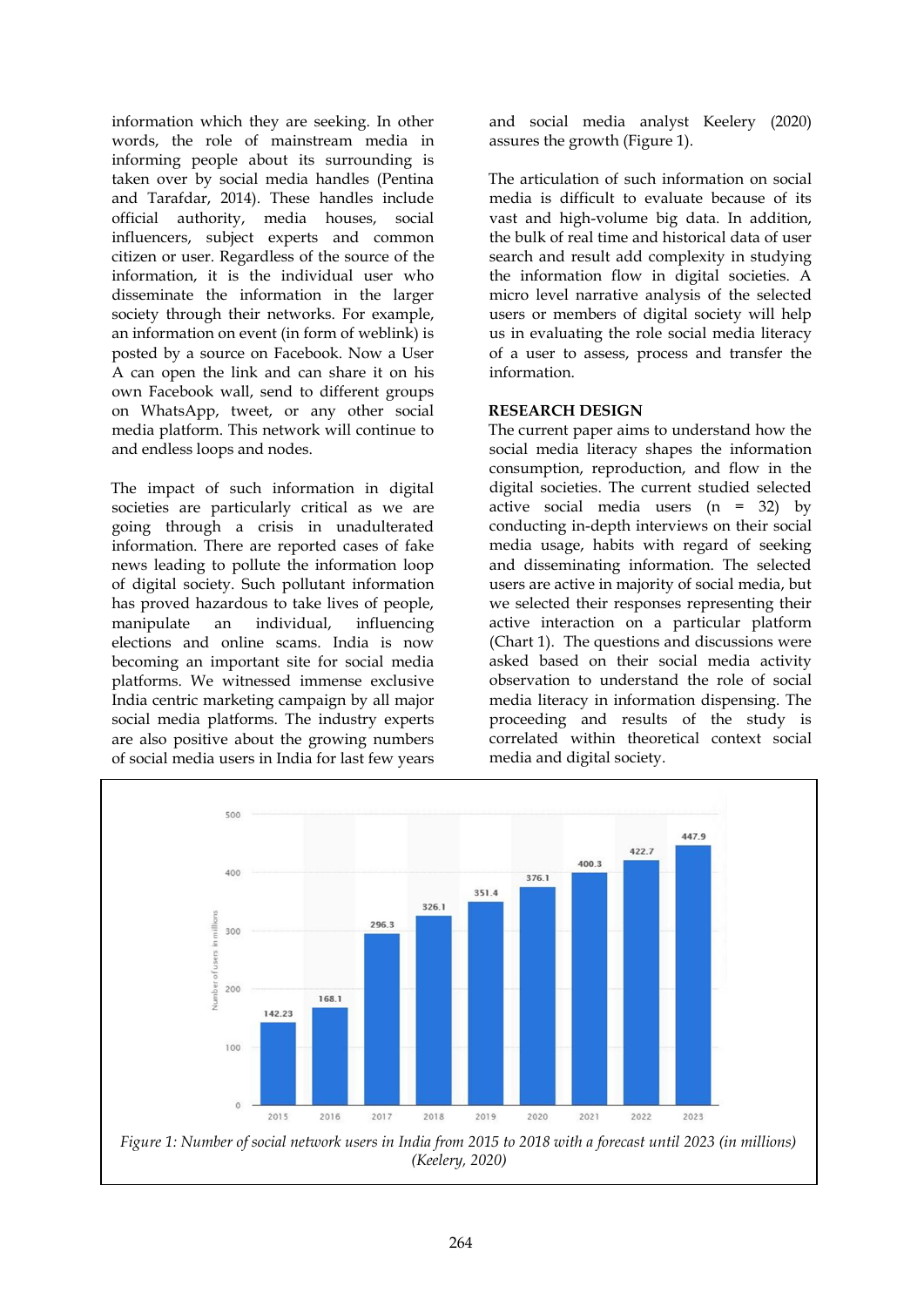information which they are seeking. In other words, the role of mainstream media in informing people about its surrounding is taken over by social media handles (Pentina and Tarafdar, 2014). These handles include official authority, media houses, social influencers, subject experts and common citizen or user. Regardless of the source of the information, it is the individual user who disseminate the information in the larger society through their networks. For example, an information on event (in form of weblink) is posted by a source on Facebook. Now a User A can open the link and can share it on his own Facebook wall, send to different groups on WhatsApp, tweet, or any other social media platform. This network will continue to and endless loops and nodes.

The impact of such information in digital societies are particularly critical as we are going through a crisis in unadulterated information. There are reported cases of fake news leading to pollute the information loop of digital society. Such pollutant information has proved hazardous to take lives of people, manipulate an individual, influencing elections and online scams. India is now becoming an important site for social media platforms. We witnessed immense exclusive India centric marketing campaign by all major social media platforms. The industry experts are also positive about the growing numbers of social media users in India for last few years

and social media analyst Keelery (2020) assures the growth (Figure 1).

The articulation of such information on social media is difficult to evaluate because of its vast and high-volume big data. In addition, the bulk of real time and historical data of user search and result add complexity in studying the information flow in digital societies. A micro level narrative analysis of the selected users or members of digital society will help us in evaluating the role social media literacy of a user to assess, process and transfer the information.

## **RESEARCH DESIGN**

The current paper aims to understand how the social media literacy shapes the information consumption, reproduction, and flow in the digital societies. The current studied selected active social media users (n = 32) by conducting in-depth interviews on their social media usage, habits with regard of seeking and disseminating information. The selected users are active in majority of social media, but we selected their responses representing their active interaction on a particular platform (Chart 1). The questions and discussions were asked based on their social media activity observation to understand the role of social media literacy in information dispensing. The proceeding and results of the study is correlated within theoretical context social media and digital society.

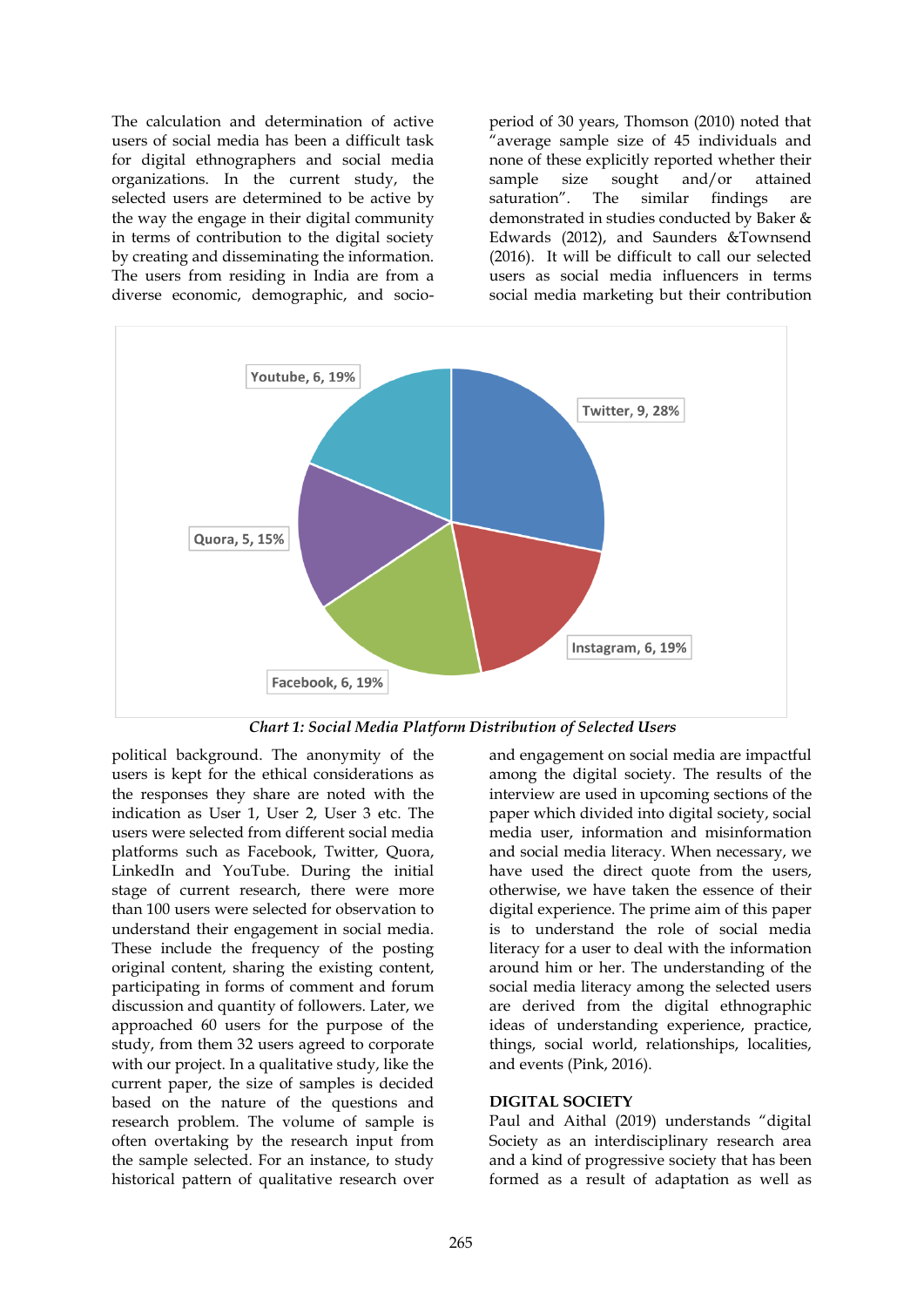The calculation and determination of active users of social media has been a difficult task for digital ethnographers and social media organizations. In the current study, the selected users are determined to be active by the way the engage in their digital community in terms of contribution to the digital society by creating and disseminating the information. The users from residing in India are from a diverse economic, demographic, and socioperiod of 30 years, Thomson (2010) noted that "average sample size of 45 individuals and none of these explicitly reported whether their sample size sought and/or attained saturation". The similar findings are demonstrated in studies conducted by Baker & Edwards (2012), and Saunders &Townsend (2016). It will be difficult to call our selected users as social media influencers in terms social media marketing but their contribution



*Chart 1: Social Media Platform Distribution of Selected Users*

political background. The anonymity of the users is kept for the ethical considerations as the responses they share are noted with the indication as User 1, User 2, User 3 etc. The users were selected from different social media platforms such as Facebook, Twitter, Quora, LinkedIn and YouTube. During the initial stage of current research, there were more than 100 users were selected for observation to understand their engagement in social media. These include the frequency of the posting original content, sharing the existing content, participating in forms of comment and forum discussion and quantity of followers. Later, we approached 60 users for the purpose of the study, from them 32 users agreed to corporate with our project. In a qualitative study, like the current paper, the size of samples is decided based on the nature of the questions and research problem. The volume of sample is often overtaking by the research input from the sample selected. For an instance, to study historical pattern of qualitative research over

and engagement on social media are impactful among the digital society. The results of the interview are used in upcoming sections of the paper which divided into digital society, social media user, information and misinformation and social media literacy. When necessary, we have used the direct quote from the users, otherwise, we have taken the essence of their digital experience. The prime aim of this paper is to understand the role of social media literacy for a user to deal with the information around him or her. The understanding of the social media literacy among the selected users are derived from the digital ethnographic ideas of understanding experience, practice, things, social world, relationships, localities, and events (Pink, 2016).

#### **DIGITAL SOCIETY**

Paul and Aithal (2019) understands "digital Society as an interdisciplinary research area and a kind of progressive society that has been formed as a result of adaptation as well as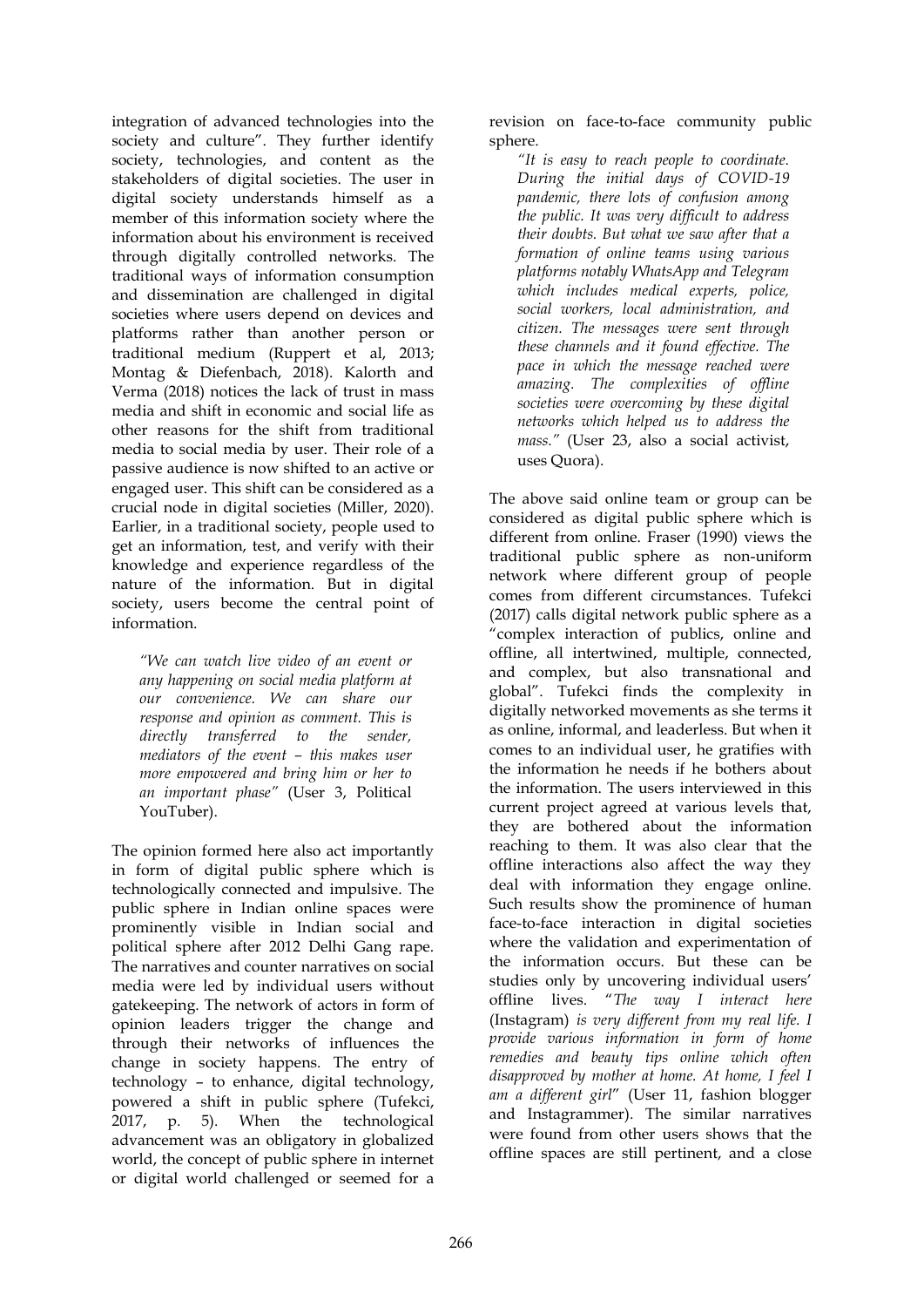integration of advanced technologies into the society and culture". They further identify society, technologies, and content as the stakeholders of digital societies. The user in digital society understands himself as a member of this information society where the information about his environment is received through digitally controlled networks. The traditional ways of information consumption and dissemination are challenged in digital societies where users depend on devices and platforms rather than another person or traditional medium (Ruppert et al, 2013; Montag & Diefenbach, 2018). Kalorth and Verma (2018) notices the lack of trust in mass media and shift in economic and social life as other reasons for the shift from traditional media to social media by user. Their role of a passive audience is now shifted to an active or engaged user. This shift can be considered as a crucial node in digital societies (Miller, 2020). Earlier, in a traditional society, people used to get an information, test, and verify with their knowledge and experience regardless of the nature of the information. But in digital society, users become the central point of information.

*"We can watch live video of an event or any happening on social media platform at our convenience. We can share our response and opinion as comment. This is directly transferred to the sender, mediators of the event – this makes user more empowered and bring him or her to an important phase"* (User 3, Political YouTuber).

The opinion formed here also act importantly in form of digital public sphere which is technologically connected and impulsive. The public sphere in Indian online spaces were prominently visible in Indian social and political sphere after 2012 Delhi Gang rape. The narratives and counter narratives on social media were led by individual users without gatekeeping. The network of actors in form of opinion leaders trigger the change and through their networks of influences the change in society happens. The entry of technology – to enhance, digital technology, powered a shift in public sphere (Tufekci, 2017, p. 5). When the technological advancement was an obligatory in globalized world, the concept of public sphere in internet or digital world challenged or seemed for a revision on face-to-face community public sphere.

*"It is easy to reach people to coordinate. During the initial days of COVID-19 pandemic, there lots of confusion among the public. It was very difficult to address their doubts. But what we saw after that a formation of online teams using various platforms notably WhatsApp and Telegram which includes medical experts, police, social workers, local administration, and citizen. The messages were sent through these channels and it found effective. The pace in which the message reached were amazing. The complexities of offline societies were overcoming by these digital networks which helped us to address the mass."* (User 23, also a social activist, uses Quora).

The above said online team or group can be considered as digital public sphere which is different from online. Fraser (1990) views the traditional public sphere as non-uniform network where different group of people comes from different circumstances. Tufekci (2017) calls digital network public sphere as a "complex interaction of publics, online and offline, all intertwined, multiple, connected, and complex, but also transnational and global". Tufekci finds the complexity in digitally networked movements as she terms it as online, informal, and leaderless. But when it comes to an individual user, he gratifies with the information he needs if he bothers about the information. The users interviewed in this current project agreed at various levels that, they are bothered about the information reaching to them. It was also clear that the offline interactions also affect the way they deal with information they engage online. Such results show the prominence of human face-to-face interaction in digital societies where the validation and experimentation of the information occurs. But these can be studies only by uncovering individual users' offline lives. "*The way I interact here*  (Instagram) *is very different from my real life. I provide various information in form of home remedies and beauty tips online which often disapproved by mother at home. At home, I feel I am a different girl*" (User 11, fashion blogger and Instagrammer). The similar narratives were found from other users shows that the offline spaces are still pertinent, and a close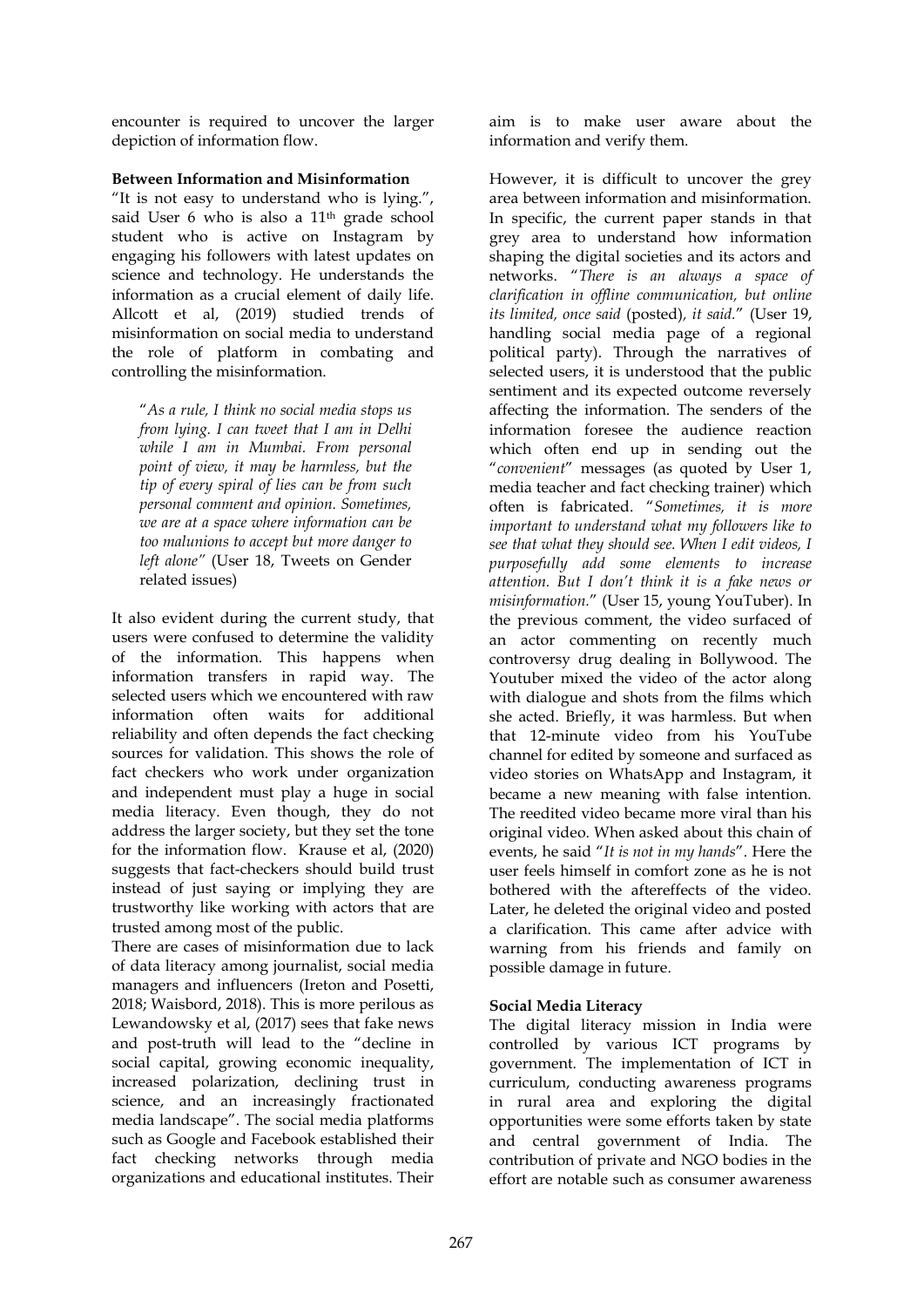encounter is required to uncover the larger depiction of information flow.

#### **Between Information and Misinformation**

"It is not easy to understand who is lying.", said User 6 who is also a 11<sup>th</sup> grade school student who is active on Instagram by engaging his followers with latest updates on science and technology. He understands the information as a crucial element of daily life. Allcott et al, (2019) studied trends of misinformation on social media to understand the role of platform in combating and controlling the misinformation.

"*As a rule, I think no social media stops us from lying. I can tweet that I am in Delhi while I am in Mumbai. From personal point of view, it may be harmless, but the tip of every spiral of lies can be from such personal comment and opinion. Sometimes, we are at a space where information can be too malunions to accept but more danger to left alone"* (User 18, Tweets on Gender related issues)

It also evident during the current study, that users were confused to determine the validity of the information. This happens when information transfers in rapid way. The selected users which we encountered with raw information often waits for additional reliability and often depends the fact checking sources for validation. This shows the role of fact checkers who work under organization and independent must play a huge in social media literacy. Even though, they do not address the larger society, but they set the tone for the information flow. Krause et al, (2020) suggests that fact-checkers should build trust instead of just saying or implying they are trustworthy like working with actors that are trusted among most of the public.

There are cases of misinformation due to lack of data literacy among journalist, social media managers and influencers (Ireton and Posetti, 2018; Waisbord, 2018). This is more perilous as Lewandowsky et al, (2017) sees that fake news and post-truth will lead to the "decline in social capital, growing economic inequality, increased polarization, declining trust in science, and an increasingly fractionated media landscape". The social media platforms such as Google and Facebook established their fact checking networks through media organizations and educational institutes. Their

aim is to make user aware about the information and verify them.

However, it is difficult to uncover the grey area between information and misinformation. In specific, the current paper stands in that grey area to understand how information shaping the digital societies and its actors and networks. "*There is an always a space of clarification in offline communication, but online its limited, once said* (posted)*, it said.*" (User 19, handling social media page of a regional political party). Through the narratives of selected users, it is understood that the public sentiment and its expected outcome reversely affecting the information. The senders of the information foresee the audience reaction which often end up in sending out the "*convenient*" messages (as quoted by User 1, media teacher and fact checking trainer) which often is fabricated. "*Sometimes, it is more important to understand what my followers like to see that what they should see. When I edit videos, I purposefully add some elements to increase attention. But I don't think it is a fake news or misinformation.*" (User 15, young YouTuber). In the previous comment, the video surfaced of an actor commenting on recently much controversy drug dealing in Bollywood. The Youtuber mixed the video of the actor along with dialogue and shots from the films which she acted. Briefly, it was harmless. But when that 12-minute video from his YouTube channel for edited by someone and surfaced as video stories on WhatsApp and Instagram, it became a new meaning with false intention. The reedited video became more viral than his original video. When asked about this chain of events, he said "*It is not in my hands*". Here the user feels himself in comfort zone as he is not bothered with the aftereffects of the video. Later, he deleted the original video and posted a clarification. This came after advice with warning from his friends and family on possible damage in future.

## **Social Media Literacy**

The digital literacy mission in India were controlled by various ICT programs by government. The implementation of ICT in curriculum, conducting awareness programs in rural area and exploring the digital opportunities were some efforts taken by state and central government of India. The contribution of private and NGO bodies in the effort are notable such as consumer awareness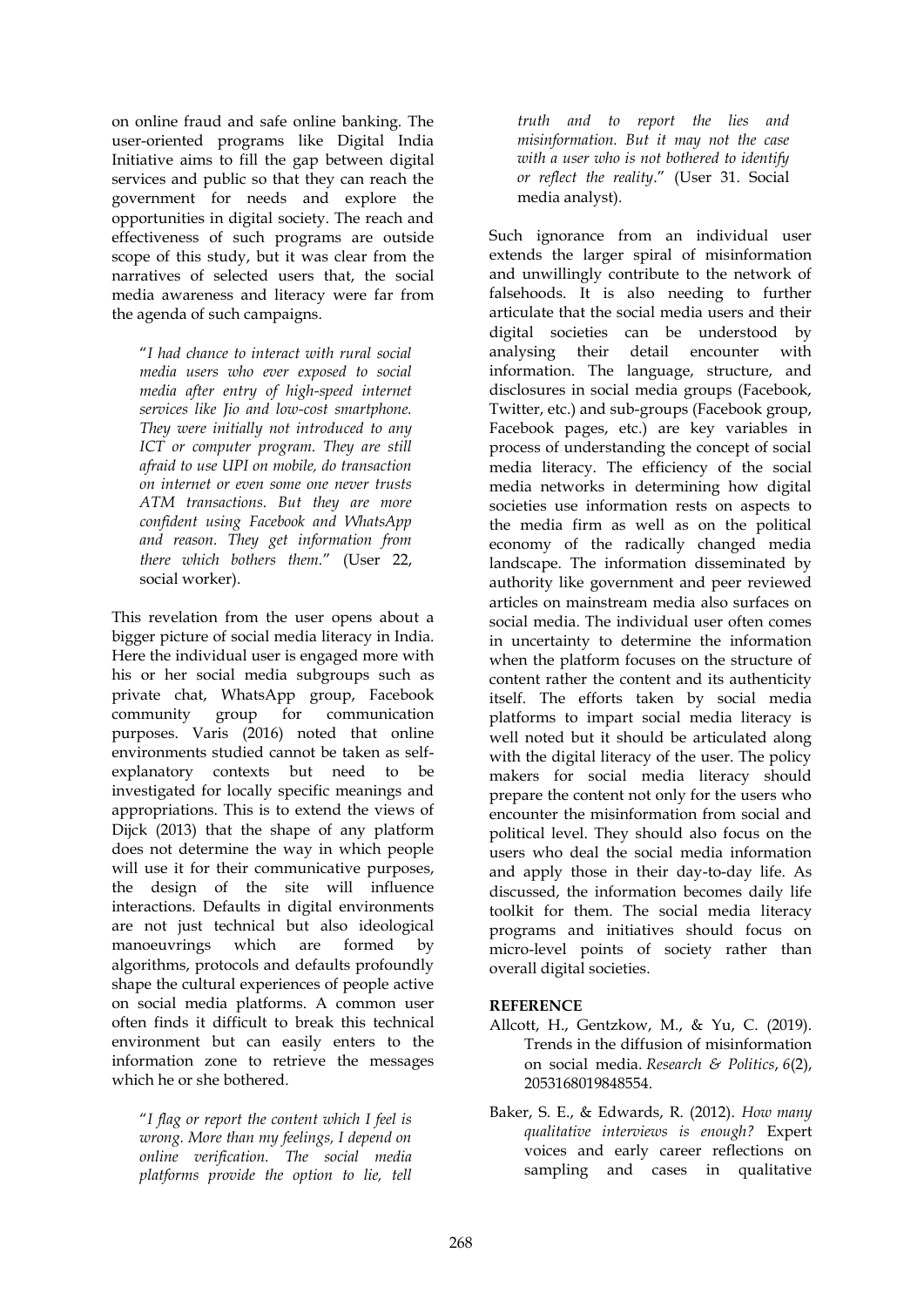on online fraud and safe online banking. The user-oriented programs like Digital India Initiative aims to fill the gap between digital services and public so that they can reach the government for needs and explore the opportunities in digital society. The reach and effectiveness of such programs are outside scope of this study, but it was clear from the narratives of selected users that, the social media awareness and literacy were far from the agenda of such campaigns.

"*I had chance to interact with rural social media users who ever exposed to social media after entry of high-speed internet services like Jio and low-cost smartphone. They were initially not introduced to any ICT or computer program. They are still afraid to use UPI on mobile, do transaction on internet or even some one never trusts ATM transactions. But they are more confident using Facebook and WhatsApp and reason. They get information from there which bothers them.*" (User 22, social worker).

This revelation from the user opens about a bigger picture of social media literacy in India. Here the individual user is engaged more with his or her social media subgroups such as private chat, WhatsApp group, Facebook community group for communication purposes. Varis (2016) noted that online environments studied cannot be taken as selfexplanatory contexts but need to be investigated for locally specific meanings and appropriations. This is to extend the views of Dijck (2013) that the shape of any platform does not determine the way in which people will use it for their communicative purposes, the design of the site will influence interactions. Defaults in digital environments are not just technical but also ideological manoeuvrings which are formed by algorithms, protocols and defaults profoundly shape the cultural experiences of people active on social media platforms. A common user often finds it difficult to break this technical environment but can easily enters to the information zone to retrieve the messages which he or she bothered.

"*I flag or report the content which I feel is wrong. More than my feelings, I depend on online verification. The social media platforms provide the option to lie, tell* 

*truth and to report the lies and misinformation. But it may not the case with a user who is not bothered to identify or reflect the reality*." (User 31. Social media analyst).

Such ignorance from an individual user extends the larger spiral of misinformation and unwillingly contribute to the network of falsehoods. It is also needing to further articulate that the social media users and their digital societies can be understood by analysing their detail encounter with information. The language, structure, and disclosures in social media groups (Facebook, Twitter, etc.) and sub-groups (Facebook group, Facebook pages, etc.) are key variables in process of understanding the concept of social media literacy. The efficiency of the social media networks in determining how digital societies use information rests on aspects to the media firm as well as on the political economy of the radically changed media landscape. The information disseminated by authority like government and peer reviewed articles on mainstream media also surfaces on social media. The individual user often comes in uncertainty to determine the information when the platform focuses on the structure of content rather the content and its authenticity itself. The efforts taken by social media platforms to impart social media literacy is well noted but it should be articulated along with the digital literacy of the user. The policy makers for social media literacy should prepare the content not only for the users who encounter the misinformation from social and political level. They should also focus on the users who deal the social media information and apply those in their day-to-day life. As discussed, the information becomes daily life toolkit for them. The social media literacy programs and initiatives should focus on micro-level points of society rather than overall digital societies.

## **REFERENCE**

- Allcott, H., Gentzkow, M., & Yu, C. (2019). Trends in the diffusion of misinformation on social media. *Research & Politics*, *6*(2), 2053168019848554.
- Baker, S. E., & Edwards, R. (2012). *How many qualitative interviews is enough?* Expert voices and early career reflections on sampling and cases in qualitative